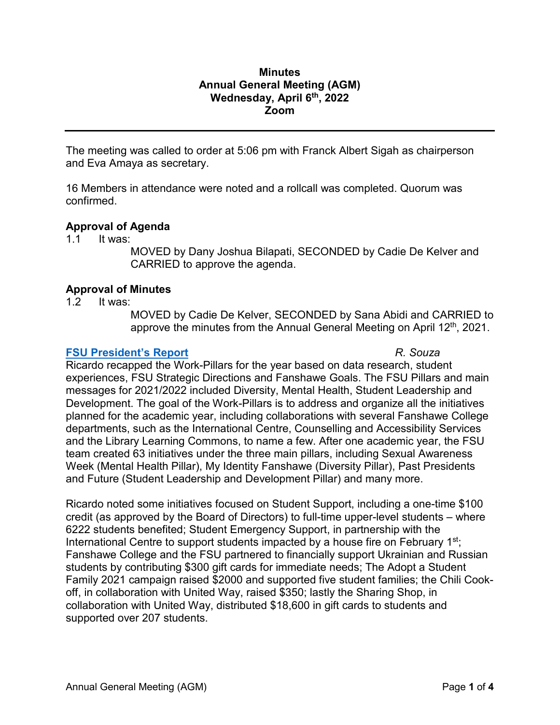# **Minutes Annual General Meeting (AGM) Wednesday, April 6th, 2022 Zoom**

The meeting was called to order at 5:06 pm with Franck Albert Sigah as chairperson and Eva Amaya as secretary.

16 Members in attendance were noted and a rollcall was completed. Quorum was confirmed.

# **Approval of Agenda**

1.1 It was:

MOVED by Dany Joshua Bilapati, SECONDED by Cadie De Kelver and CARRIED to approve the agenda.

# **Approval of Minutes**

1.2 It was:

MOVED by Cadie De Kelver, SECONDED by Sana Abidi and CARRIED to approve the minutes from the Annual General Meeting on April 12<sup>th</sup>, 2021.

#### **[FSU President's](https://www.fsu.ca/docs/2022-agm-presidents-report.pdf) Report** *R. Souza*

Ricardo recapped the Work-Pillars for the year based on data research, student experiences, FSU Strategic Directions and Fanshawe Goals. The FSU Pillars and main messages for 2021/2022 included Diversity, Mental Health, Student Leadership and Development. The goal of the Work-Pillars is to address and organize all the initiatives planned for the academic year, including collaborations with several Fanshawe College departments, such as the International Centre, Counselling and Accessibility Services and the Library Learning Commons, to name a few. After one academic year, the FSU team created 63 initiatives under the three main pillars, including Sexual Awareness Week (Mental Health Pillar), My Identity Fanshawe (Diversity Pillar), Past Presidents and Future (Student Leadership and Development Pillar) and many more.

Ricardo noted some initiatives focused on Student Support, including a one-time \$100 credit (as approved by the Board of Directors) to full-time upper-level students – where 6222 students benefited; Student Emergency Support, in partnership with the International Centre to support students impacted by a house fire on February  $1<sup>st</sup>$ ; Fanshawe College and the FSU partnered to financially support Ukrainian and Russian students by contributing \$300 gift cards for immediate needs; The Adopt a Student Family 2021 campaign raised \$2000 and supported five student families; the Chili Cookoff, in collaboration with United Way, raised \$350; lastly the Sharing Shop, in collaboration with United Way, distributed \$18,600 in gift cards to students and supported over 207 students.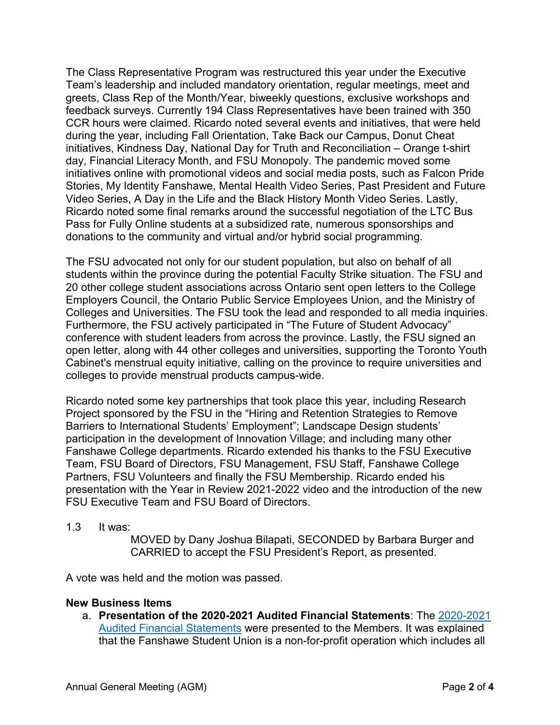The Class Representative Program was restructured this year under the Executive Team's leadership and included mandatory orientation, regular meetings, meet and greets, Class Rep of the Month/Year, biweekly questions, exclusive workshops and feedback surveys. Currently 194 Class Representatives have been trained with 350 CCR hours were claimed. Ricardo noted several events and initiatives, that were held during the year, including Fall Orientation, Take Back our Campus, Donut Cheat initiatives, Kindness Day, National Day for Truth and Reconciliation – Orange t-shirt day, Financial Literacy Month, and FSU Monopoly. The pandemic moved some initiatives online with promotional videos and social media posts, such as Falcon Pride Stories, My Identity Fanshawe, Mental Health Video Series, Past President and Future Video Series, A Day in the Life and the Black History Month Video Series. Lastly, Ricardo noted some final remarks around the successful negotiation of the LTC Bus Pass for Fully Online students at a subsidized rate, numerous sponsorships and donations to the community and virtual and/or hybrid social programming.

The FSU advocated not only for our student population, but also on behalf of all students within the province during the potential Faculty Strike situation. The FSU and 20 other college student associations across Ontario sent open letters to the College Employers Council, the Ontario Public Service Employees Union, and the Ministry of Colleges and Universities. The FSU took the lead and responded to all media inquiries. Furthermore, the FSU actively participated in "The Future of Student Advocacy" conference with student leaders from across the province. Lastly, the FSU signed an open letter, along with 44 other colleges and universities, supporting the Toronto Youth Cabinet's menstrual equity initiative, calling on the province to require universities and colleges to provide menstrual products campus-wide.

Ricardo noted some key partnerships that took place this year, including Research Project sponsored by the FSU in the "Hiring and Retention Strategies to Remove Barriers to International Students' Employment"; Landscape Design students' participation in the development of Innovation Village; and including many other Fanshawe College departments. Ricardo extended his thanks to the FSU Executive Team, FSU Board of Directors, FSU Management, FSU Staff, Fanshawe College Partners, FSU Volunteers and finally the FSU Membership. Ricardo ended his presentation with the Year in Review 2021-2022 video and the introduction of the new FSU Executive Team and FSU Board of Directors.

#### 1.3 It was:

MOVED by Dany Joshua Bilapati, SECONDED by Barbara Burger and CARRIED to accept the FSU President's Report, as presented.

A vote was held and the motion was passed.

# **New Business Items**

a. **Presentation of the 2020-2021 Audited Financial Statements**: The [2020-2021](https://www.fsu.ca/docs/financial-statements-2021.pdf)  [Audited Financial Statements](https://www.fsu.ca/docs/financial-statements-2021.pdf) were presented to the Members. It was explained that the Fanshawe Student Union is a non-for-profit operation which includes all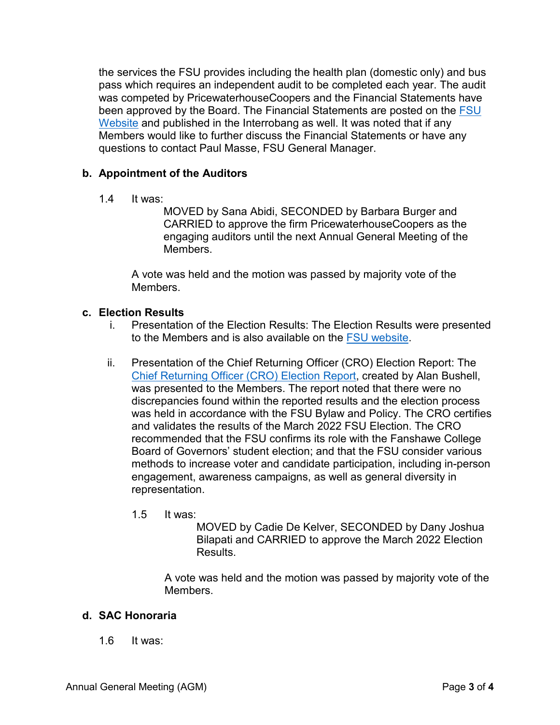the services the FSU provides including the health plan (domestic only) and bus pass which requires an independent audit to be completed each year. The audit was competed by PricewaterhouseCoopers and the Financial Statements have been approved by the Board. The Financial Statements are posted on the FSU [Website](https://www.fsu.ca/financials) and published in the Interrobang as well. It was noted that if any Members would like to further discuss the Financial Statements or have any questions to contact Paul Masse, FSU General Manager.

# **b. Appointment of the Auditors**

1.4 It was:

MOVED by Sana Abidi, SECONDED by Barbara Burger and CARRIED to approve the firm PricewaterhouseCoopers as the engaging auditors until the next Annual General Meeting of the Members.

A vote was held and the motion was passed by majority vote of the Members.

# **c. Election Results**

- i. Presentation of the Election Results: The Election Results were presented to the Members and is also available on the [FSU website.](https://www.fsu.ca/elections-2022)
- ii. Presentation of the Chief Returning Officer (CRO) Election Report: The [Chief Returning Officer \(CRO\) Election Report,](https://www.fsu.ca/docs/CRO-report-FSU-2022-election.pdf) created by Alan Bushell, was presented to the Members. The report noted that there were no discrepancies found within the reported results and the election process was held in accordance with the FSU Bylaw and Policy. The CRO certifies and validates the results of the March 2022 FSU Election. The CRO recommended that the FSU confirms its role with the Fanshawe College Board of Governors' student election; and that the FSU consider various methods to increase voter and candidate participation, including in-person engagement, awareness campaigns, as well as general diversity in representation.
	- 1.5 It was:

MOVED by Cadie De Kelver, SECONDED by Dany Joshua Bilapati and CARRIED to approve the March 2022 Election Results.

A vote was held and the motion was passed by majority vote of the Members.

# **d. SAC Honoraria**

1.6 It was: